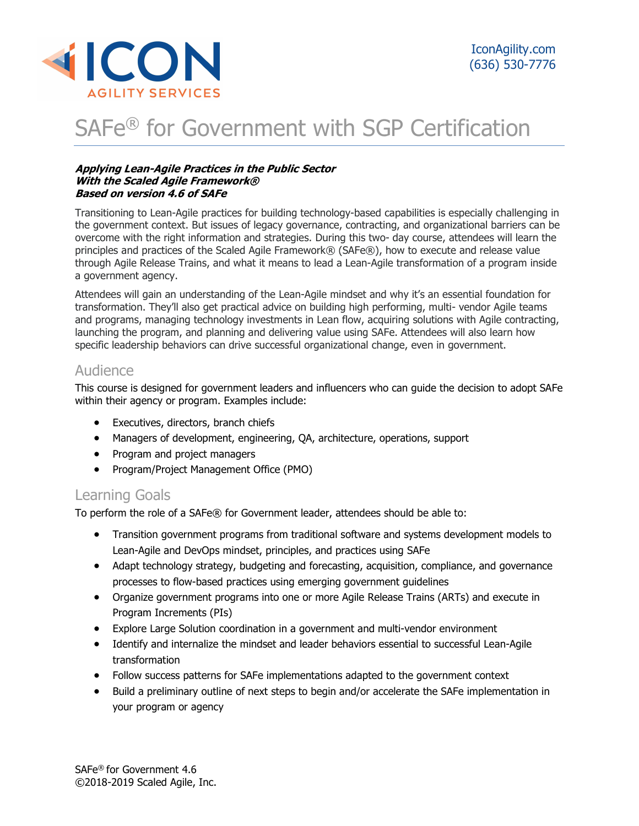

# SAFe® for Government with SGP Certification

#### Applying Lean-Agile Practices in the Public Sector With the Scaled Agile Framework® Based on version 4.6 of SAFe

Transitioning to Lean-Agile practices for building technology-based capabilities is especially challenging in the government context. But issues of legacy governance, contracting, and organizational barriers can be overcome with the right information and strategies. During this two- day course, attendees will learn the principles and practices of the Scaled Agile Framework® (SAFe®), how to execute and release value through Agile Release Trains, and what it means to lead a Lean-Agile transformation of a program inside a government agency.

Attendees will gain an understanding of the Lean-Agile mindset and why it's an essential foundation for transformation. They'll also get practical advice on building high performing, multi- vendor Agile teams and programs, managing technology investments in Lean flow, acquiring solutions with Agile contracting, launching the program, and planning and delivering value using SAFe. Attendees will also learn how specific leadership behaviors can drive successful organizational change, even in government.

## Audience

This course is designed for government leaders and influencers who can guide the decision to adopt SAFe within their agency or program. Examples include:

- **•** Executives, directors, branch chiefs
- Managers of development, engineering, QA, architecture, operations, support
- Program and project managers
- Program/Project Management Office (PMO)

## Learning Goals

To perform the role of a SAFe® for Government leader, attendees should be able to:

- Transition government programs from traditional software and systems development models to Lean-Agile and DevOps mindset, principles, and practices using SAFe
- Adapt technology strategy, budgeting and forecasting, acquisition, compliance, and governance processes to flow-based practices using emerging government guidelines
- Organize government programs into one or more Agile Release Trains (ARTs) and execute in Program Increments (PIs)
- Explore Large Solution coordination in a government and multi-vendor environment
- Identify and internalize the mindset and leader behaviors essential to successful Lean-Agile transformation
- Follow success patterns for SAFe implementations adapted to the government context
- Build a preliminary outline of next steps to begin and/or accelerate the SAFe implementation in your program or agency